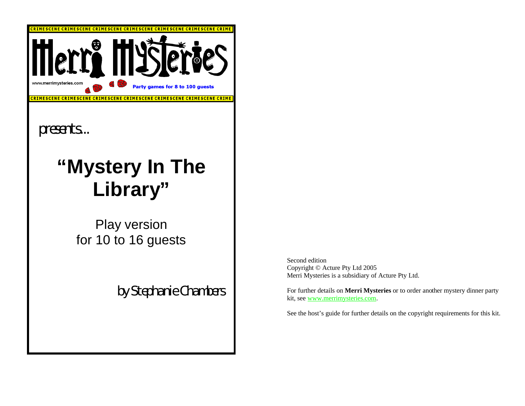

Second edition Copyright © Acture Pty Ltd 2005 Merri Mysteries is a subsidiary of Acture Pty Ltd.

For further details on **Merri Mysteries** or to order another mystery dinner party kit, see www.merrimysteries.com.

See the host's guide for further details on the copyright requirements for this kit.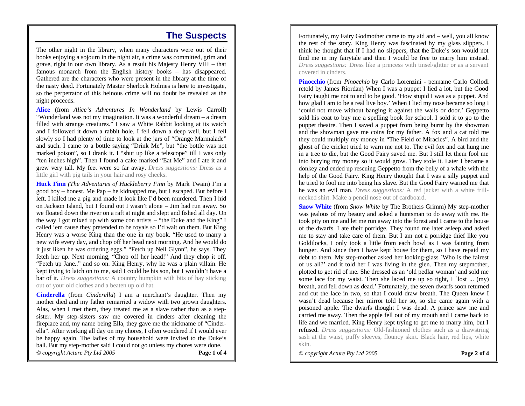### **The Suspects**

The other night in the library, when many characters were out of their books enjoying a sojourn in the night air, a crime was committed, grim and grave, right in our own library. As a result his Majesty Henry VIII – that famous monarch from the English history books – has disappeared. Gathered are the characters who were present in the library at the time of the nasty deed. Fortunately Master Sherlock Holmes is here to investigate, so the perpetrator of this heinous crime will no doubt be revealed as the night proceeds.

**Alice** (from *Alice's Adventures In Wonderland* by Lewis Carroll) "Wonderland was not my imagination. It was a wonderful dream – a dream filled with strange creatures." I saw a White Rabbit looking at its watch and I followed it down a rabbit hole. I fell down a deep well, but I fell slowly so I had plenty of time to look at the jars of "Orange Marmalade" and such. I came to a bottle saying "Drink Me", but "the bottle was not marked poison", so I drank it. I "shut up like a telescope" till I was only "ten inches high". Then I found a cake marked "Eat Me" and I ate it and grew very tall. My feet were so far away. *Dress suggestions:* Dress as a little girl with pig tails in your hair and rosy cheeks.

**Huck Finn** *(The Adventures of Huckleberry Finn* by Mark Twain) I'm a good boy – honest. Me Pap – he kidnapped me, but I escaped. But before I left, I killed me a pig and made it look like I'd been murdered. Then I hid on Jackson Island, but I found out I wasn't alone – Jim had run away. So we floated down the river on a raft at night and slept and fished all day. On the way I got mixed up with some con artists – "the Duke and the King" I called 'em cause they pretended to be royals so I'd wait on them. But King Henry was a worse King than the one in my book. "He used to marry a new wife every day, and chop off her head next morning. And he would do it just liken he was ordering eggs." "Fetch up Nell Glynn", he says. They fetch her up. Next morning, "Chop off her head!" And they chop it off. "Fetch up Jane.." and so on. King Henry, why he was a plain villain. He kept trying to latch on to me, said I could be his son, but I wouldn't have a bar of it. *Dress suggestions:* A country bumpkin with bits of hay sticking out of your old clothes and a beaten up old hat.

**Cinderella** (from *Cinderella*) I am a merchant's daughter. Then my mother died and my father remarried a widow with two grown daughters. Alas, when I met them, they treated me as a slave rather than as a stepsister. My step-sisters saw me covered in cinders after cleaning the fireplace and, my name being Ella, they gave me the nickname of "Cinderella". After working all day on my chores, I often wondered if I would ever be happy again. The ladies of my household were invited to the Duke's ball. But my step-mother said I could not go unless my chores were done. *© copyright Acture Pty Ltd 2005* **Page 1 of 4**

Fortunately, my Fairy Godmother came to my aid and – well, you all know the rest of the story. King Henry was fascinated by my glass slippers. I think he thought that if I had no slippers, that the Duke's son would not find me in my fairytale and then I would be free to marry him instead. *Dress suggestions:* Dress like a princess with tinsel/glitter or as a servant covered in cinders.

**Pinocchio** (from *Pinocchio* by Carlo Lorenzini - penname Carlo Collodi retold by James Riordan) When I was a puppet I lied a lot, but the Good Fairy taught me not to and to be good. 'How stupid I was as a puppet. And how glad I am to be a real live boy.' When I lied my nose became so long I 'could not move without banging it against the walls or door.' Geppetto sold his coat to buy me a spelling book for school. I sold it to go to the puppet theatre. Then I saved a puppet from being burnt by the showman and the showman gave me coins for my father. A fox and a cat told me they could multiply my money in "The Field of Miracles". A bird and the ghost of the cricket tried to warn me not to. The evil fox and cat hung me in a tree to die, but the Good Fairy saved me. But I still let them fool me into burying my money so it would grow. They stole it. Later I became a donkey and ended up rescuing Geppetto from the belly of a whale with the help of the Good Fairy. King Henry thought that I was a silly puppet and he tried to fool me into being his slave. But the Good Fairy warned me that he was an evil man. *Dress suggestions:* A red jacket with a white frillnecked shirt. Make a pencil nose out of cardboard.

**Snow White** (from *Snow White* by The Brothers Grimm) My step-mother was jealous of my beauty and asked a huntsman to do away with me. He took pity on me and let me run away into the forest and I came to the house of the dwarfs. I ate their porridge. They found me later asleep and asked me to stay and take care of them. But I am not a porridge thief like you Goldilocks, I only took a little from each bowl as I was fainting from hunger. And since then I have kept house for them, so I have repaid my debt to them. My step-mother asked her looking-glass `Who is the fairest of us all?' and it told her I was living in the glen. Then my stepmother, plotted to get rid of me. She dressed as an 'old pedlar woman' and sold me some lace for my waist. Then she laced me up so tight,  $I$  `lost ... (my) breath, and fell down as dead.' Fortunately, the seven dwarfs soon returned and cut the lace in two, so that I could draw breath. The Queen knew I wasn't dead because her mirror told her so, so she came again with a poisoned apple. The dwarfs thought I was dead. A prince saw me and carried me away. Then the apple fell out of my mouth and I came back to life and we married. King Henry kept trying to get me to marry him, but I refused. *Dress suggestions:* Old-fashioned clothes such as a drawstring sash at the waist, puffy sleeves, flouncy skirt. Black hair, red lips, white skin.

*© copyright Acture Pty Ltd 2005* **Page 2 of 4**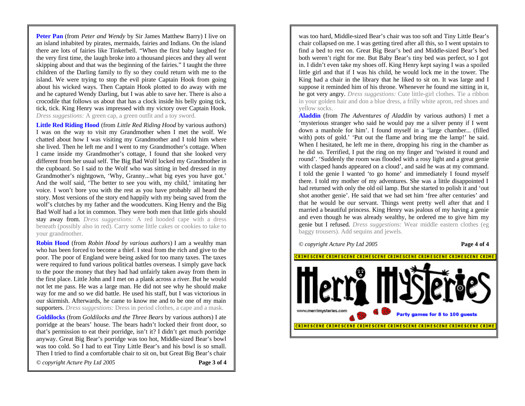**Peter Pan** (from *Peter and Wendy* by Sir James Matthew Barry) I live on an island inhabited by pirates, mermaids, fairies and Indians. On the island there are lots of fairies like Tinkerbell. "When the first baby laughed for the very first time, the laugh broke into a thousand pieces and they all went skipping about and that was the beginning of the fairies." I taught the three children of the Darling family to fly so they could return with me to the island. We were trying to stop the evil pirate Captain Hook from going about his wicked ways. Then Captain Hook plotted to do away with me and he captured Wendy Darling, but I was able to save her. There is also a crocodile that follows us about that has a clock inside his belly going tick, tick, tick. King Henry was impressed with my victory over Captain Hook. *Dress suggestions:* A green cap, a green outfit and a toy sword.

**Little Red Riding Hood** (from *Little Red Riding Hood* by various authors) I was on the way to visit my Grandmother when I met the wolf. We chatted about how I was visiting my Grandmother and I told him where she lived. Then he left me and I went to my Grandmother's cottage. When I came inside my Grandmother's cottage, I found that she looked very different from her usual self. The Big Bad Wolf locked my Grandmother in the cupboard. So I said to the Wolf who was sitting in bed dressed in my Grandmother's nightgown, 'Why, Granny...what big eyes you have got.' And the wolf said, 'The better to see you with, my child,' imitating her voice. I won't bore you with the rest as you have probably all heard the story. Most versions of the story end happily with my being saved from the wolf's clutches by my father and the woodcutters. King Henry and the Big Bad Wolf had a lot in common. They were both men that little girls should stay away from. *Dress suggestions:* A red hooded cape with a dress beneath (possibly also in red). Carry some little cakes or cookies to take to your grandmother.

**Robin Hood** (from *Robin Hood by various authors*) I am a wealthy man who has been forced to become a thief. I steal from the rich and give to the poor. The poor of England were being asked for too many taxes. The taxes were required to fund various political battles overseas. I simply gave back to the poor the money that they had had unfairly taken away from them in the first place. Little John and I met on a plank across a river. But he would not let me pass. He was a large man. He did not see why he should make way for me and so we did battle. He used his staff, but I was victorious in our skirmish. Afterwards, he came to know me and to be one of my main supporters. *Dress suggestions:* Dress in period clothes, a cape and a mask.

**Goldilocks** (from *Goldilocks and the Three Bears* by various authors) I ate porridge at the bears' house. The bears hadn't locked their front door, so that's permission to eat their porridge, isn't it? I didn't get much porridge anyway. Great Big Bear's porridge was too hot, Middle-sized Bear's bowl was too cold. So I had to eat Tiny Little Bear's and his bowl is so small. Then I tried to find a comfortable chair to sit on, but Great Big Bear's chair

*© copyright Acture Pty Ltd 2005* **Page 3 of 4**

was too hard, Middle-sized Bear's chair was too soft and Tiny Little Bear's chair collapsed on me. I was getting tired after all this, so I went upstairs to find a bed to rest on. Great Big Bear's bed and Middle-sized Bear's bed both weren't right for me. But Baby Bear's tiny bed was perfect, so I got in. I didn't even take my shoes off. King Henry kept saying I was a spoiled little girl and that if I was his child, he would lock me in the tower. The King had a chair in the library that he liked to sit on. It was large and I suppose it reminded him of his throne. Whenever he found me sitting in it, he got very angry. *Dress suggestions:* Cute little-girl clothes. Tie a ribbon in your golden hair and don a blue dress, a frilly white apron, red shoes and yellow socks.

**Aladdin** (from *The Adventures of Aladdin* by various authors) I met a 'mysterious stranger who said he would pay me a silver penny if I went down a manhole for him'. I found myself in a 'large chamber... (filled with) pots of gold.' 'Put out the flame and bring me the lamp!' he said. When I hesitated, he left me in there, dropping his ring in the chamber as he did so. Terrified, I put the ring on my finger and 'twisted it round and round'. 'Suddenly the room was flooded with a rosy light and a great genie with clasped hands appeared on a cloud', and said he was at my command. I told the genie I wanted 'to go home' and immediately I found myself there. I told my mother of my adventures. She was a little disappointed I had returned with only the old oil lamp. But she started to polish it and 'out shot another genie'. He said that we had set him 'free after centuries' and that he would be our servant. Things went pretty well after that and I married a beautiful princess. King Henry was jealous of my having a genie and even though he was already wealthy, he ordered me to give him my genie but I refused. *Dress suggestions:* Wear middle eastern clothes (eg baggy trousers). Add sequins and jewels.

*© copyright Acture Pty Ltd 2005* **Page 4 of 4**

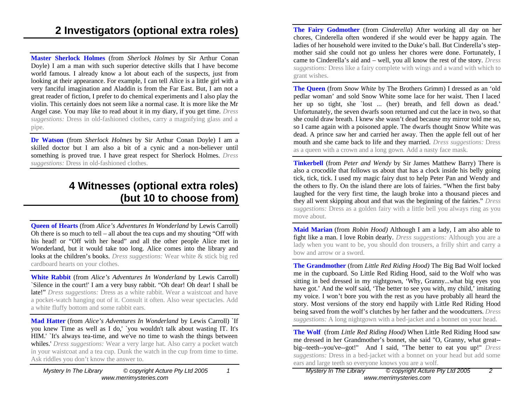**Master Sherlock Holmes** (from *Sherlock Holmes* by Sir Arthur Conan Doyle) I am a man with such superior detective skills that I have become world famous. I already know a lot about each of the suspects, just from looking at their appearance. For example, I can tell Alice is a little girl with a very fanciful imagination and Aladdin is from the Far East. But, I am not a great reader of fiction, I prefer to do chemical experiments and I also play the violin. This certainly does not seem like a normal case. It is more like the Mr Angel case. You may like to read about it in my diary, if you get time. *Dress suggestions:* Dress in old-fashioned clothes, carry a magnifying glass and a pipe.

**Dr Watson** (from *Sherlock Holmes* by Sir Arthur Conan Doyle) I am a skilled doctor but I am also a bit of a cynic and a non-believer until something is proved true. I have great respect for Sherlock Holmes. *Dress suggestions:* Dress in old-fashioned clothes.

### **4 Witnesses (optional extra roles) (but 10 to choose from)**

**Queen of Hearts** (from *Alice's Adventures In Wonderland* by Lewis Carroll) Oh there is so much to tell – all about the tea cups and my shouting "Off with his head! or "Off with her head" and all the other people Alice met in Wonderland, but it would take too long. Alice comes into the library and looks at the children's books. *Dress suggestions:* Wear white & stick big red cardboard hearts on your clothes.

**White Rabbit** (from *Alice's Adventures In Wonderland* by Lewis Carroll) `Silence in the court!' I am a very busy rabbit. "Oh dear! Oh dear! I shall be late!" *Dress suggestions:* Dress as a white rabbit. Wear a waistcoat and have a pocket-watch hanging out of it. Consult it often. Also wear spectacles. Add a white fluffy bottom and some rabbit ears.

**Mad Hatter** (from *Alice's Adventures In Wonderland* by Lewis Carroll) `If you knew Time as well as I do,' `you wouldn't talk about wasting IT. It's HIM.' `It's always tea-time, and we've no time to wash the things between whiles.' *Dress suggestions:* Wear a very large hat. Also carry a pocket watch in your waistcoat and a tea cup. Dunk the watch in the cup from time to time. Ask riddles you don't know the answer to.

*Mystery In The Library © copyright Acture Pty Ltd 2005 1 www.merrimysteries.com*

**The Fairy Godmother** (from *Cinderella*) After working all day on her chores, Cinderella often wondered if she would ever be happy again. The ladies of her household were invited to the Duke's ball. But Cinderella's stepmother said she could not go unless her chores were done. Fortunately, I came to Cinderella's aid and – well, you all know the rest of the story. *Dress suggestions:* Dress like a fairy complete with wings and a wand with which to grant wishes.

**The Queen** (from *Snow White* by The Brothers Grimm) I dressed as an 'old pedlar woman' and sold Snow White some lace for her waist. Then I laced her up so tight, she `lost ... (her) breath, and fell down as dead.' Unfortunately, the seven dwarfs soon returned and cut the lace in two, so that she could draw breath. I knew she wasn't dead because my mirror told me so, so I came again with a poisoned apple. The dwarfs thought Snow White was dead. A prince saw her and carried her away. Then the apple fell out of her mouth and she came back to life and they married. *Dress suggestions:* Dress as a queen with a crown and a long gown. Add a nasty face mask.

**Tinkerbell** (from *Peter and Wendy* by Sir James Matthew Barry) There is also a crocodile that follows us about that has a clock inside his belly going tick, tick, tick. I used my magic fairy dust to help Peter Pan and Wendy and the others to fly. On the island there are lots of fairies. "When the first baby laughed for the very first time, the laugh broke into a thousand pieces and they all went skipping about and that was the beginning of the fairies." *Dress suggestions:* Dress as a golden fairy with a little bell you always ring as you move about.

**Maid Marian** (from *Robin Hood)* Although I am a lady, I am also able to fight like a man. I love Robin dearly. *Dress suggestions:* Although you are a lady when you want to be, you should don trousers, a frilly shirt and carry a bow and arrow or a sword.

**The Grandmother** (from *Little Red Riding Hood)* The Big Bad Wolf locked me in the cupboard. So Little Red Riding Hood, said to the Wolf who was sitting in bed dressed in my nightgown, 'Why, Granny...what big eyes you have got.' And the wolf said, 'The better to see you with, my child,' imitating my voice. I won't bore you with the rest as you have probably all heard the story. Most versions of the story end happily with Little Red Riding Hood being saved from the wolf's clutches by her father and the woodcutters. *Dress suggestions:* A long nightgown with a bed-jacket and a bonnet on your head.

**The Wolf** (from *Little Red Riding Hood)* When Little Red Riding Hood saw me dressed in her Grandmother's bonnet, she said "O, Granny, what great- big--teeth--you've--got!" And I said, "The better to eat you up!" *Dress suggestions:* Dress in a bed-jacket with a bonnet on your head but add some ears and large teeth so everyone knows you are a wolf.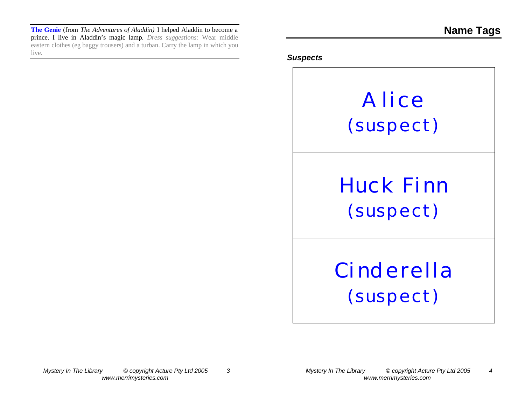**The Genie** (from *The Adventures of Aladdin)* I helped Aladdin to become a prince. I live in Aladdin's magic lamp. *Dress suggestions:* Wear middle eastern clothes (eg baggy trousers) and a turban. Carry the lamp in which you live.

#### *Suspects*

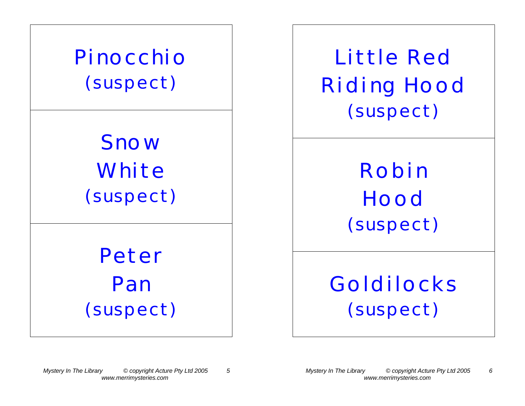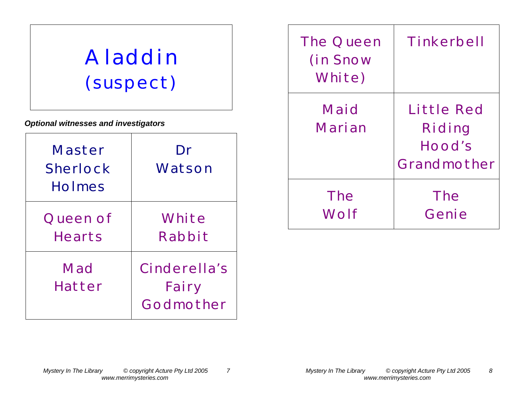# **Aladdin (suspect)**

*Optional witnesses and investigators*

| Master<br><b>Sherlock</b><br><b>Holmes</b> | Dr<br>Watson                       |
|--------------------------------------------|------------------------------------|
| Queen of<br><b>Hearts</b>                  | White<br>Rabbit                    |
| Mad<br>Hatter                              | Cinderella's<br>Fairy<br>Godmother |

| <b>The Queen</b><br>(in Snow<br>White) | Tinkerbell                                    |
|----------------------------------------|-----------------------------------------------|
| Maid<br>Marian                         | Little Red<br>Riding<br>Hood's<br>Grandmother |
| <b>The</b><br>Wolf                     | <b>The</b><br>Genie                           |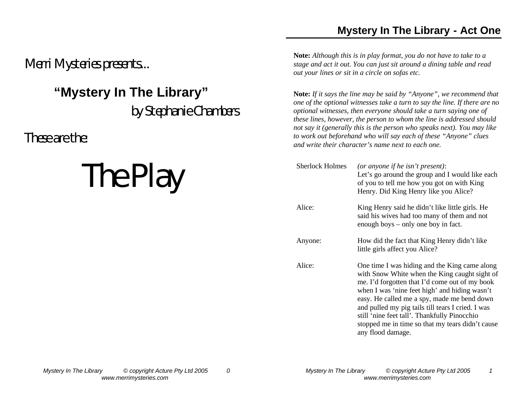### **Mystery In The Library - Act One**

*Merri Mysteries presents...* 

## **"Mystery In The Library"**

*by Stephanie Chambers*

*These are the:*

# *The Play*

**Note:** *Although this is in play format, you do not have to take to a stage and act it out. You can just sit around a dining table and read out your lines or sit in a circle on sofas etc.*

**Note:** *If it says the line may be said by "Anyone", we recommend that one of the optional witnesses take a turn to say the line. If there are no optional witnesses, then everyone should take a turn saying one of these lines, however, the person to whom the line is addressed should not say it (generally this is the person who speaks next). You may like to work out beforehand who will say each of these "Anyone" clues and write their character's name next to each one.*

| <b>Sherlock Holmes</b> | (or anyone if he isn't present):<br>Let's go around the group and I would like each<br>of you to tell me how you got on with King<br>Henry. Did King Henry like you Alice?                                                                                                                                                                                                                                                     |
|------------------------|--------------------------------------------------------------------------------------------------------------------------------------------------------------------------------------------------------------------------------------------------------------------------------------------------------------------------------------------------------------------------------------------------------------------------------|
| Alice:                 | King Henry said he didn't like little girls. He<br>said his wives had too many of them and not<br>enough boys – only one boy in fact.                                                                                                                                                                                                                                                                                          |
| Anyone:                | How did the fact that King Henry didn't like<br>little girls affect you Alice?                                                                                                                                                                                                                                                                                                                                                 |
| Alice:                 | One time I was hiding and the King came along<br>with Snow White when the King caught sight of<br>me. I'd forgotten that I'd come out of my book<br>when I was 'nine feet high' and hiding wasn't<br>easy. He called me a spy, made me bend down<br>and pulled my pig tails till tears I cried. I was<br>still 'nine feet tall'. Thankfully Pinocchio<br>stopped me in time so that my tears didn't cause<br>any flood damage. |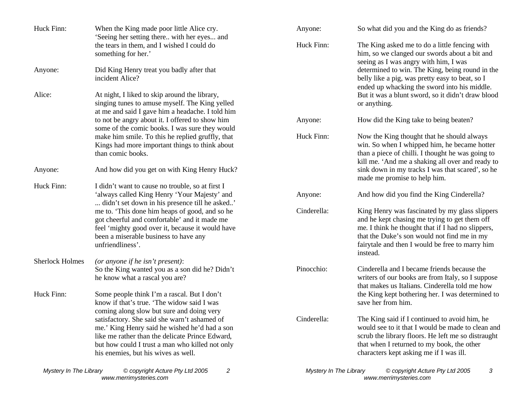| Huck Finn:             | When the King made poor little Alice cry.<br>'Seeing her setting there with her eyes and                                                                                                                                                                                                | Anyone:                | So what did you and the King do as friends?                                                                                                                                                                                                                        |
|------------------------|-----------------------------------------------------------------------------------------------------------------------------------------------------------------------------------------------------------------------------------------------------------------------------------------|------------------------|--------------------------------------------------------------------------------------------------------------------------------------------------------------------------------------------------------------------------------------------------------------------|
|                        | the tears in them, and I wished I could do<br>something for her.'                                                                                                                                                                                                                       | Huck Finn:             | The King asked me to do a little fencing with<br>him, so we clanged our swords about a bit and<br>seeing as I was angry with him, I was                                                                                                                            |
| Anyone:                | Did King Henry treat you badly after that<br>incident Alice?                                                                                                                                                                                                                            |                        | determined to win. The King, being round in the<br>belly like a pig, was pretty easy to beat, so I<br>ended up whacking the sword into his middle.                                                                                                                 |
| Alice:                 | At night, I liked to skip around the library,<br>singing tunes to amuse myself. The King yelled<br>at me and said I gave him a headache. I told him                                                                                                                                     |                        | But it was a blunt sword, so it didn't draw blood<br>or anything.                                                                                                                                                                                                  |
|                        | to not be angry about it. I offered to show him<br>some of the comic books. I was sure they would                                                                                                                                                                                       | Anyone:                | How did the King take to being beaten?                                                                                                                                                                                                                             |
|                        | make him smile. To this he replied gruffly, that<br>Kings had more important things to think about<br>than comic books.                                                                                                                                                                 | Huck Finn:             | Now the King thought that he should always<br>win. So when I whipped him, he became hotter<br>than a piece of chilli. I thought he was going to<br>kill me. 'And me a shaking all over and ready to                                                                |
| Anyone:                | And how did you get on with King Henry Huck?                                                                                                                                                                                                                                            |                        | sink down in my tracks I was that scared', so he<br>made me promise to help him.                                                                                                                                                                                   |
| Huck Finn:             | I didn't want to cause no trouble, so at first I<br>'always called King Henry 'Your Majesty' and<br>didn't set down in his presence till he asked'                                                                                                                                      | Anyone:                | And how did you find the King Cinderella?                                                                                                                                                                                                                          |
|                        | me to. 'This done him heaps of good, and so he<br>got cheerful and comfortable' and it made me<br>feel 'mighty good over it, because it would have<br>been a miserable business to have any<br>unfriendliness'.                                                                         | Cinderella:            | King Henry was fascinated by my glass slippers<br>and he kept chasing me trying to get them off<br>me. I think he thought that if I had no slippers,<br>that the Duke's son would not find me in my<br>fairytale and then I would be free to marry him<br>instead. |
| <b>Sherlock Holmes</b> | (or anyone if he isn't present):<br>So the King wanted you as a son did he? Didn't                                                                                                                                                                                                      | Pinocchio:             | Cinderella and I became friends because the                                                                                                                                                                                                                        |
| Huck Finn:             | he know what a rascal you are?<br>Some people think I'm a rascal. But I don't<br>know if that's true. 'The widow said I was                                                                                                                                                             |                        | writers of our books are from Italy, so I suppose<br>that makes us Italians. Cinderella told me how<br>the King kept bothering her. I was determined to<br>save her from him.                                                                                      |
|                        | coming along slow but sure and doing very<br>satisfactory. She said she warn't ashamed of<br>me.' King Henry said he wished he'd had a son<br>like me rather than the delicate Prince Edward,<br>but how could I trust a man who killed not only<br>his enemies, but his wives as well. | Cinderella:            | The King said if I continued to avoid him, he<br>would see to it that I would be made to clean and<br>scrub the library floors. He left me so distraught<br>that when I returned to my book, the other<br>characters kept asking me if I was ill.                  |
| Mystery In The Library | © copyright Acture Pty Ltd 2005<br>2                                                                                                                                                                                                                                                    | Mystery In The Library | © copyright Acture Pty Ltd 2005<br>3                                                                                                                                                                                                                               |

*www.merrimysteries.com*

*www.merrimysteries.com*